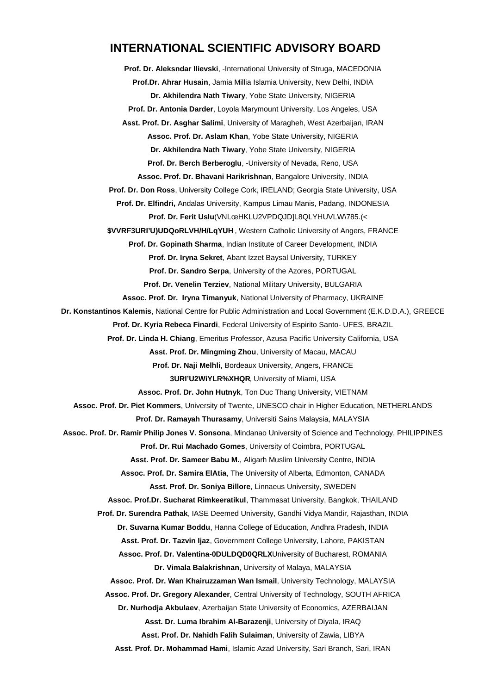#### **INTERNATIONAL SCIENTIFIC ADVISORY BOARD**

**Prof. Dr. Aleksndar Ilievski**, -International University of Struga, MACEDONIA **Prof.Dr. Ahrar Husain**, Jamia Millia Islamia University, New Delhi, INDIA **Dr. Akhilendra Nath Tiwary**, Yobe State University, NIGERIA **Prof. Dr. Antonia Darder**, Loyola Marymount University, Los Angeles, USA **Asst. Prof. Dr. Asghar Salimi**, University of Maragheh, West Azerbaijan, IRAN **Assoc. Prof. Dr. Aslam Khan**, Yobe State University, NIGERIA **Dr. Akhilendra Nath Tiwary**, Yobe State University, NIGERIA **Prof. Dr. Berch Berberoglu**, -University of Nevada, Reno, USA **Assoc. Prof. Dr. Bhavani Harikrishnan**, Bangalore University, INDIA **Prof. Dr. Don Ross**, University College Cork, IRELAND; Georgia State University, USA **Prof. Dr. Elfindri,** Andalas University, Kampus Limau Manis, Padang, INDONESIA **Prof. Dr. Ferit Uslu(VNLúHKLU2VPDQJD]L8QLYHUVLW\785.(<** \$VVRF 3URI 'U )UDQo, RWestern Catholic of Mive heating of Angers, FRANCE **Prof. Dr. Gopinath Sharma**, Indian Institute of Career Development, INDIA **Prof. Dr. Iryna Sekret**, Abant Izzet Baysal University, TURKEY **Prof. Dr. Sandro Serpa**, University of the Azores, PORTUGAL **Prof. Dr. Venelin Terziev**, National Military University, BULGARIA **Assoc. Prof. Dr. Iryna Timanyuk**, National University of Pharmacy, UKRAINE **Dr. Konstantinos Kalemis**, National Centre for Public Administration and Local Government (E.K.D.D.A.), GREECE **Prof. Dr. Kyria Rebeca Finardi**, Federal University of Espirito Santo- UFES, BRAZIL **Prof. Dr. Linda H. Chiang**, Emeritus Professor, Azusa Pacific University California, USA **Asst. Prof. Dr. Mingming Zhou**, University of Macau, MACAU **Prof. Dr. Naji Melhli**, Bordeaux University, Angers, FRANCE 3 URI 'U 2 W i Y LUR iversity Hot Nikami, USA **Assoc. Prof. Dr. John Hutnyk**, Ton Duc Thang University, VIETNAM **Assoc. Prof. Dr. Piet Kommers**, University of Twente, UNESCO chair in Higher Education, NETHERLANDS **Prof. Dr. Ramayah Thurasamy**, Universiti Sains Malaysia, MALAYSIA **Assoc. Prof. Dr. Ramir Philip Jones V. Sonsona**, Mindanao University of Science and Technology, PHILIPPINES **Prof. Dr. Rui Machado Gomes**, University of Coimbra, PORTUGAL **Asst. Prof. Dr. Sameer Babu M.**, Aligarh Muslim University Centre, INDIA **Assoc. Prof. Dr. Samira ElAtia**, The University of Alberta, Edmonton, CANADA **Asst. Prof. Dr. Soniya Billore**, Linnaeus University, SWEDEN **Assoc. Prof.Dr. Sucharat Rimkeeratikul**, Thammasat University, Bangkok, THAILAND **Prof. Dr. Surendra Pathak**, IASE Deemed University, Gandhi Vidya Mandir, Rajasthan, INDIA **Dr. Suvarna Kumar Boddu**, Hanna College of Education, Andhra Pradesh, INDIA **Asst. Prof. Dr. Tazvin Ijaz**, Government College University, Lahore, PAKISTAN Assoc. Prof. Dr. Valentina- 0 D U L D Q D  $0$ University of Bucharest, ROMANIA **Dr. Vimala Balakrishnan**, University of Malaya, MALAYSIA **Assoc. Prof. Dr. Wan Khairuzzaman Wan Ismail**, University Technology, MALAYSIA **Assoc. Prof. Dr. Gregory Alexander**, Central University of Technology, SOUTH AFRICA **Dr. Nurhodja Akbulaev**, Azerbaijan State University of Economics, AZERBAIJAN **Asst. Dr. Luma Ibrahim Al-Barazenji**, University of Diyala, IRAQ **Asst. Prof. Dr. Nahidh Falih Sulaiman**, University of Zawia, LIBYA

**Asst. Prof. Dr. Mohammad Hami**, Islamic Azad University, Sari Branch, Sari, IRAN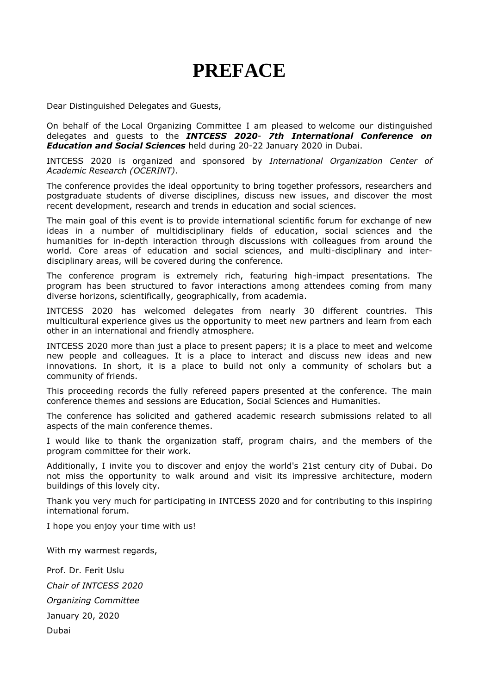# **PREFACE**

Dear Distinguished Delegates and Guests,

On behalf of the Local Organizing Committee I am pleased to welcome our distinguished delegates and guests to the *INTCESS 2020*- *7th International Conference on Education and Social Sciences* held during 20-22 January 2020 in Dubai.

INTCESS 2020 is organized and sponsored by *International Organization Center of Academic Research (OCERINT)*.

The conference provides the ideal opportunity to bring together professors, researchers and postgraduate students of diverse disciplines, discuss new issues, and discover the most recent development, research and trends in education and social sciences.

The main goal of this event is to provide international scientific forum for exchange of new ideas in a number of multidisciplinary fields of education, social sciences and the humanities for in-depth interaction through discussions with colleagues from around the world. Core areas of education and social sciences, and multi-disciplinary and interdisciplinary areas, will be covered during the conference.

The conference program is extremely rich, featuring high-impact presentations. The program has been structured to favor interactions among attendees coming from many diverse horizons, scientifically, geographically, from academia.

INTCESS 2020 has welcomed delegates from nearly 30 different countries. This multicultural experience gives us the opportunity to meet new partners and learn from each other in an international and friendly atmosphere.

INTCESS 2020 more than just a place to present papers; it is a place to meet and welcome new people and colleagues. It is a place to interact and discuss new ideas and new innovations. In short, it is a place to build not only a community of scholars but a community of friends.

This proceeding records the fully refereed papers presented at the conference. The main conference themes and sessions are Education, Social Sciences and Humanities.

The conference has solicited and gathered academic research submissions related to all aspects of the main conference themes.

I would like to thank the organization staff, program chairs, and the members of the program committee for their work.

Additionally, I invite you to discover and enjoy the world's 21st century city of Dubai. Do not miss the opportunity to walk around and visit its impressive architecture, modern buildings of this lovely city.

Thank you very much for participating in INTCESS 2020 and for contributing to this inspiring international forum.

I hope you enjoy your time with us!

With my warmest regards,

Prof. Dr. Ferit Uslu *Chair of INTCESS 2020 Organizing Committee* January 20, 2020 Dubai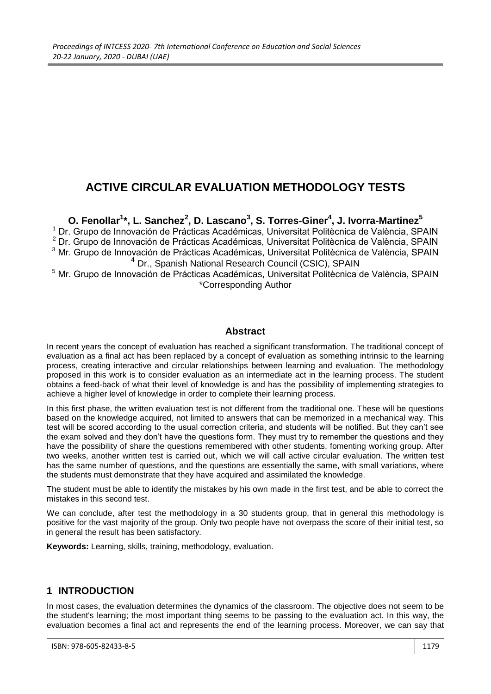# **ACTIVE CIRCULAR EVALUATION METHODOLOGY TESTS**

**O. Fenollar<sup>1</sup> \*, L. Sanchez<sup>2</sup> , D. Lascano<sup>3</sup> , S. Torres-Giner<sup>4</sup> , J. Ivorra-Martinez<sup>5</sup>** <sup>1</sup> Dr. Grupo de Innovación de Prácticas Académicas, Universitat Politècnica de València, SPAIN <sup>2</sup> Dr. Grupo de Innovación de Prácticas Académicas, Universitat Politècnica de València, SPAIN <sup>3</sup> Mr. Grupo de Innovación de Prácticas Académicas, Universitat Politècnica de València, SPAIN <sup>4</sup> Dr., Spanish National Research Council (CSIC), SPAIN

<sup>5</sup> Mr. Grupo de Innovación de Prácticas Académicas, Universitat Politècnica de València, SPAIN \*Corresponding Author

#### **Abstract**

In recent years the concept of evaluation has reached a significant transformation. The traditional concept of evaluation as a final act has been replaced by a concept of evaluation as something intrinsic to the learning process, creating interactive and circular relationships between learning and evaluation. The methodology proposed in this work is to consider evaluation as an intermediate act in the learning process. The student obtains a feed-back of what their level of knowledge is and has the possibility of implementing strategies to achieve a higher level of knowledge in order to complete their learning process.

In this first phase, the written evaluation test is not different from the traditional one. These will be questions based on the knowledge acquired, not limited to answers that can be memorized in a mechanical way. This test will be scored according to the usual correction criteria, and students will be notified. But they can't see the exam solved and they don't have the questions form. They must try to remember the questions and they have the possibility of share the questions remembered with other students, fomenting working group. After two weeks, another written test is carried out, which we will call active circular evaluation. The written test has the same number of questions, and the questions are essentially the same, with small variations, where the students must demonstrate that they have acquired and assimilated the knowledge.

The student must be able to identify the mistakes by his own made in the first test, and be able to correct the mistakes in this second test.

We can conclude, after test the methodology in a 30 students group, that in general this methodology is positive for the vast majority of the group. Only two people have not overpass the score of their initial test, so in general the result has been satisfactory.

**Keywords:** Learning, skills, training, methodology, evaluation.

#### **1 INTRODUCTION**

In most cases, the evaluation determines the dynamics of the classroom. The objective does not seem to be the student's learning; the most important thing seems to be passing to the evaluation act. In this way, the evaluation becomes a final act and represents the end of the learning process. Moreover, we can say that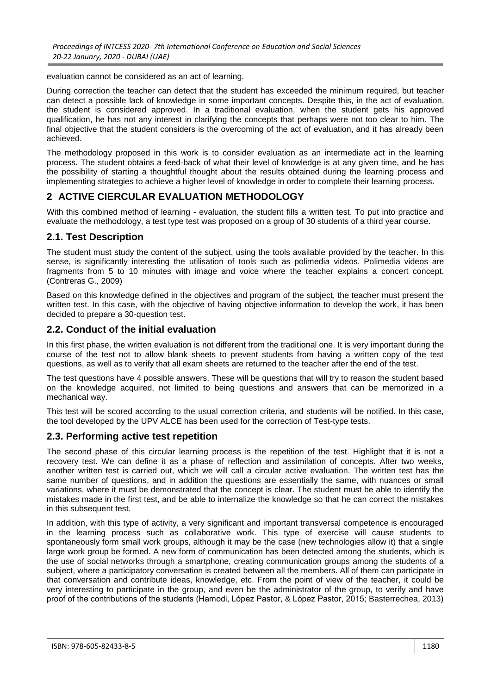evaluation cannot be considered as an act of learning.

During correction the teacher can detect that the student has exceeded the minimum required, but teacher can detect a possible lack of knowledge in some important concepts. Despite this, in the act of evaluation, the student is considered approved. In a traditional evaluation, when the student gets his approved qualification, he has not any interest in clarifying the concepts that perhaps were not too clear to him. The final objective that the student considers is the overcoming of the act of evaluation, and it has already been achieved.

The methodology proposed in this work is to consider evaluation as an intermediate act in the learning process. The student obtains a feed-back of what their level of knowledge is at any given time, and he has the possibility of starting a thoughtful thought about the results obtained during the learning process and implementing strategies to achieve a higher level of knowledge in order to complete their learning process.

## **2 ACTIVE CIERCULAR EVALUATION METHODOLOGY**

With this combined method of learning - evaluation, the student fills a written test. To put into practice and evaluate the methodology, a test type test was proposed on a group of 30 students of a third year course.

#### **2.1. Test Description**

The student must study the content of the subject, using the tools available provided by the teacher. In this sense, is significantly interesting the utilisation of tools such as polimedia videos. Polimedia videos are fragments from 5 to 10 minutes with image and voice where the teacher explains a concert concept. (Contreras G., 2009)

Based on this knowledge defined in the objectives and program of the subject, the teacher must present the written test. In this case, with the objective of having objective information to develop the work, it has been decided to prepare a 30-question test.

#### **2.2. Conduct of the initial evaluation**

In this first phase, the written evaluation is not different from the traditional one. It is very important during the course of the test not to allow blank sheets to prevent students from having a written copy of the test questions, as well as to verify that all exam sheets are returned to the teacher after the end of the test.

The test questions have 4 possible answers. These will be questions that will try to reason the student based on the knowledge acquired, not limited to being questions and answers that can be memorized in a mechanical way.

This test will be scored according to the usual correction criteria, and students will be notified. In this case, the tool developed by the UPV ALCE has been used for the correction of Test-type tests.

#### **2.3. Performing active test repetition**

The second phase of this circular learning process is the repetition of the test. Highlight that it is not a recovery test. We can define it as a phase of reflection and assimilation of concepts. After two weeks, another written test is carried out, which we will call a circular active evaluation. The written test has the same number of questions, and in addition the questions are essentially the same, with nuances or small variations, where it must be demonstrated that the concept is clear. The student must be able to identify the mistakes made in the first test, and be able to internalize the knowledge so that he can correct the mistakes in this subsequent test.

In addition, with this type of activity, a very significant and important transversal competence is encouraged in the learning process such as collaborative work. This type of exercise will cause students to spontaneously form small work groups, although it may be the case (new technologies allow it) that a single large work group be formed. A new form of communication has been detected among the students, which is the use of social networks through a smartphone, creating communication groups among the students of a subject, where a participatory conversation is created between all the members. All of them can participate in that conversation and contribute ideas, knowledge, etc. From the point of view of the teacher, it could be very interesting to participate in the group, and even be the administrator of the group, to verify and have proof of the contributions of the students (Hamodi, López Pastor, & López Pastor, 2015; Basterrechea, 2013)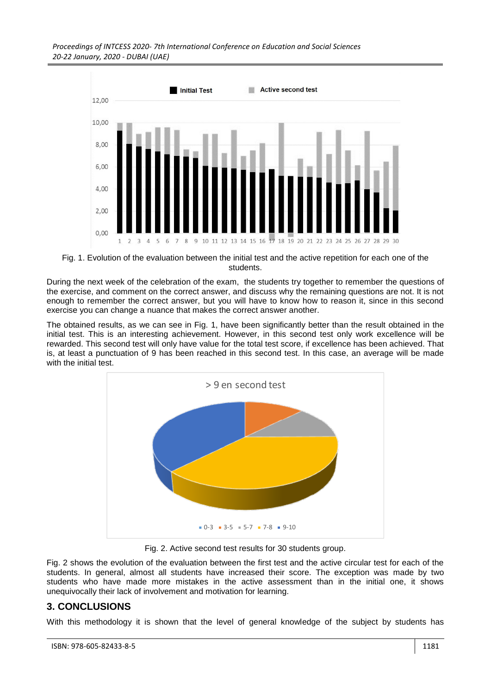*Proceedings of INTCESS 2020- 7th International Conference on Education and Social Sciences 20-22 January, 2020 - DUBAI (UAE)*



Fig. 1. Evolution of the evaluation between the initial test and the active repetition for each one of the students.

During the next week of the celebration of the exam, the students try together to remember the questions of the exercise, and comment on the correct answer, and discuss why the remaining questions are not. It is not enough to remember the correct answer, but you will have to know how to reason it, since in this second exercise you can change a nuance that makes the correct answer another.

The obtained results, as we can see in Fig. 1, have been significantly better than the result obtained in the initial test. This is an interesting achievement. However, in this second test only work excellence will be rewarded. This second test will only have value for the total test score, if excellence has been achieved. That is, at least a punctuation of 9 has been reached in this second test. In this case, an average will be made with the initial test.



Fig. 2. Active second test results for 30 students group.

Fig. 2 shows the evolution of the evaluation between the first test and the active circular test for each of the students. In general, almost all students have increased their score. The exception was made by two students who have made more mistakes in the active assessment than in the initial one, it shows unequivocally their lack of involvement and motivation for learning.

## **3. CONCLUSIONS**

With this methodology it is shown that the level of general knowledge of the subject by students has